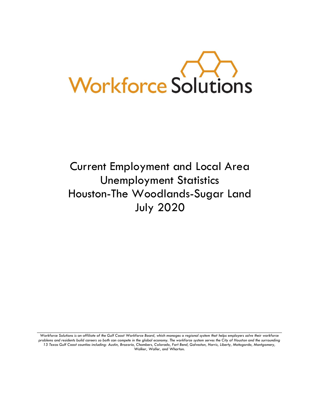

# Current Employment and Local Area Unemployment Statistics Houston-The Woodlands-Sugar Land July 2020

Workforce Solutions is an affiliate of the Gulf Coast Workforce Board, which manages a regional system that helps employers solve their workforce *problems and residents build careers so both can compete in the global economy. The workforce system serves the City of Houston and the surrounding 13 Texas Gulf Coast counties including: Austin, Brazoria, Chambers, Colorado, Fort Bend, Galveston, Harris, Liberty, Matagorda, Montgomery, Walker, Waller, and Wharton.*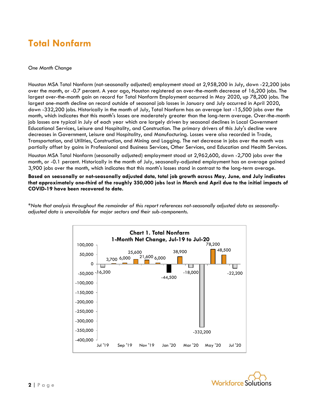### **Total Nonfarm**

#### *One Month Change*

Houston MSA Total Nonfarm (not-seasonally adjusted) employment stood at 2,958,200 in July, down -22,200 jobs over the month, or -0.7 percent. A year ago, Houston registered an over-the-month decrease of 16,200 jobs. The largest over-the-month gain on record for Total Nonfarm Employment occurred in May 2020, up 78,200 jobs. The largest one-month decline on record outside of seasonal job losses in January and July occurred in April 2020, down -332,200 jobs. Historically in the month of July, Total Nonfarm has on average lost -15,500 jobs over the month, which indicates that this month's losses are moderately greater than the long-term average. Over-the-month job losses are typical in July of each year which are largely driven by seasonal declines in Local Government Educational Services, Leisure and Hospitality, and Construction. The primary drivers of this July's decline were decreases in Government, Leisure and Hospitality, and Manufacturing. Losses were also recorded in Trade, Transportation, and Utilities, Construction, and Mining and Logging. The net decrease in jobs over the month was partially offset by gains in Professional and Business Services, Other Services, and Education and Health Services.

Houston MSA Total Nonfarm (seasonally adjusted) employment stood at 2,962,600, down -2,700 jobs over the month, or -0.1 percent. Historically in the month of July, seasonally-adjusted employment has on average gained 3,900 jobs over the month, which indicates that this month's losses stand in contrast to the long-term average.

**Based on seasonally or not-seasonally adjusted data, total job growth across May, June, and July indicates that approximately one-third of the roughly 350,000 jobs lost in March and April due to the initial impacts of COVID-19 have been recovered to date.**

*\*Note that analysis throughout the remainder of this report references not-seasonally adjusted data as seasonallyadjusted data is unavailable for major sectors and their sub-components.*



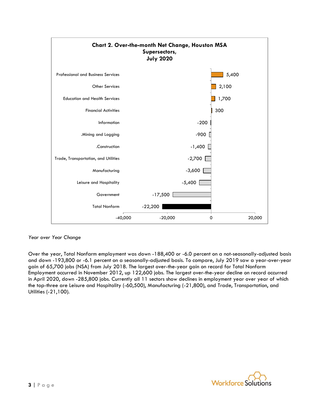

#### *Year over Year Change*

Over the year, Total Nonfarm employment was down -188,400 or -6.0 percent on a not-seasonally-adjusted basis and down -193,800 or -6.1 percent on a seasonally-adjusted basis. To compare, July 2019 saw a year-over-year gain of 65,700 jobs (NSA) from July 2018. The largest over-the-year gain on record for Total Nonfarm Employment occurred in November 2012, up 122,600 jobs. The largest over-the-year decline on record occurred in April 2020, down -285,800 jobs. Currently all 11 sectors show declines in employment year over year of which the top-three are Leisure and Hospitality (-60,500), Manufacturing (-21,800), and Trade, Transportation, and Utilities (-21,100).

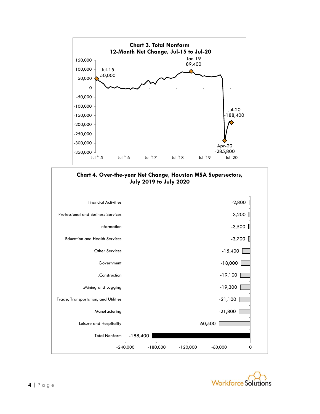



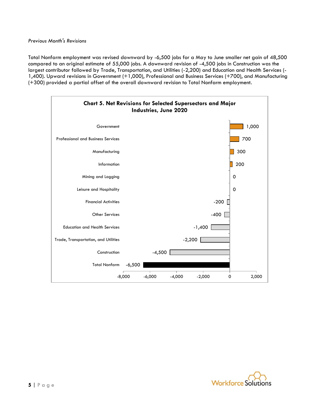Total Nonfarm employment was revised downward by -6,500 jobs for a May to June smaller net gain of 48,500 compared to an original estimate of 55,000 jobs. A downward revision of -4,500 jobs in Construction was the largest contributor followed by Trade, Transportation, and Utilities (-2,200) and Education and Health Services (- 1,400). Upward revisions in Government (+1,000), Professional and Business Services (+700), and Manufacturing (+300) provided a partial offset of the overall downward revision to Total Nonfarm employment.



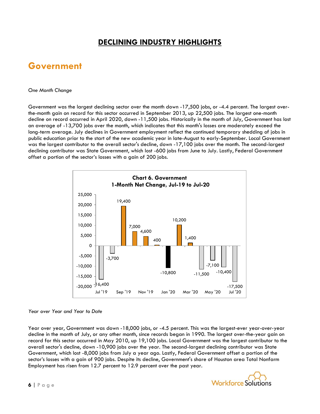### **DECLINING INDUSTRY HIGHLIGHTS**

### **Government**

#### *One Month Change*

Government was the largest declining sector over the month down -17,500 jobs, or -4.4 percent. The largest overthe-month gain on record for this sector occurred in September 2013, up 22,500 jobs. The largest one-month decline on record occurred in April 2020, down -11,500 jobs. Historically in the month of July, Government has lost an average of -13,700 jobs over the month, which indicates that this month's losses are moderately exceed the long-term average. July declines in Government employment reflect the continued temporary shedding of jobs in public education prior to the start of the new academic year in late-August to early-September. Local Government was the largest contributor to the overall sector's decline, down -17,100 jobs over the month. The second-largest declining contributor was State Government, which lost -600 jobs from June to July. Lastly, Federal Government offset a portion of the sector's losses with a gain of 200 jobs.



#### *Year over Year and Year to Date*

Year over year, Government was down -18,000 jobs, or -4.5 percent. This was the largest-ever year-over-year decline in the month of July, or any other month, since records began in 1990. The largest over-the-year gain on record for this sector occurred in May 2010, up 19,100 jobs. Local Government was the largest contributor to the overall sector's decline, down -10,900 jobs over the year. The second-largest declining contributor was State Government, which lost -8,000 jobs from July a year ago. Lastly, Federal Government offset a portion of the sector's losses with a gain of 900 jobs. Despite its decline, Government's share of Houston area Total Nonfarm Employment has risen from 12.7 percent to 12.9 percent over the past year.

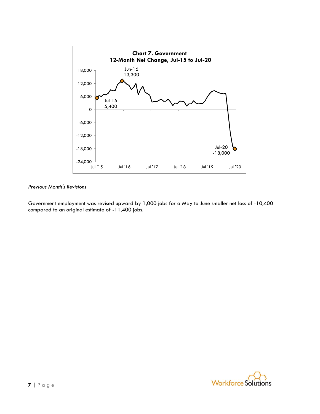

Government employment was revised upward by 1,000 jobs for a May to June smaller net loss of -10,400 compared to an original estimate of -11,400 jobs.

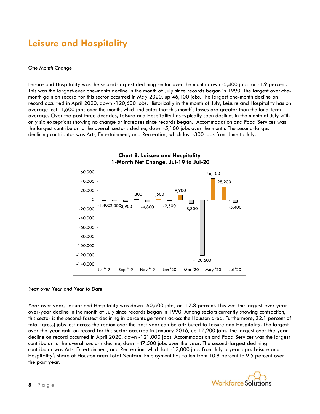### **Leisure and Hospitality**

#### *One Month Change*

Leisure and Hospitality was the second-largest declining sector over the month down -5,400 jobs, or -1.9 percent. This was the largest-ever one-month decline in the month of July since records began in 1990. The largest over-themonth gain on record for this sector occurred in May 2020, up 46,100 jobs. The largest one-month decline on record occurred in April 2020, down -120,600 jobs. Historically in the month of July, Leisure and Hospitality has on average lost -1,600 jobs over the month, which indicates that this month's losses are greater than the long-term average. Over the past three decades, Leisure and Hospitality has typically seen declines in the month of July with only six exceptions showing no change or increases since records began. Accommodation and Food Services was the largest contributor to the overall sector's decline, down -5,100 jobs over the month. The second-largest declining contributor was Arts, Entertainment, and Recreation, which lost -300 jobs from June to July.



#### *Year over Year and Year to Date*

Year over year, Leisure and Hospitality was down -60,500 jobs, or -17.8 percent. This was the largest-ever yearover-year decline in the month of July since records began in 1990. Among sectors currently showing contraction, this sector is the second-fastest declining in percentage terms across the Houston area. Furthermore, 32.1 percent of total (gross) jobs lost across the region over the past year can be attributed to Leisure and Hospitality. The largest over-the-year gain on record for this sector occurred in January 2016, up 17,200 jobs. The largest over-the-year decline on record occurred in April 2020, down -121,000 jobs. Accommodation and Food Services was the largest contributor to the overall sector's decline, down -47,500 jobs over the year. The second-largest declining contributor was Arts, Entertainment, and Recreation, which lost -13,000 jobs from July a year ago. Leisure and Hospitality's share of Houston area Total Nonfarm Employment has fallen from 10.8 percent to 9.5 percent over the past year.

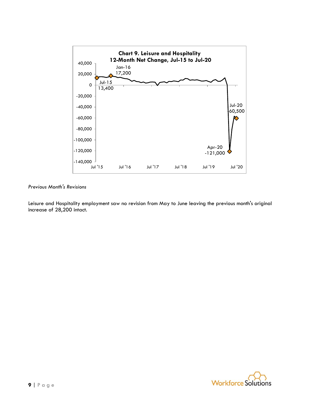

Leisure and Hospitality employment saw no revision from May to June leaving the previous month's original increase of 28,200 intact.

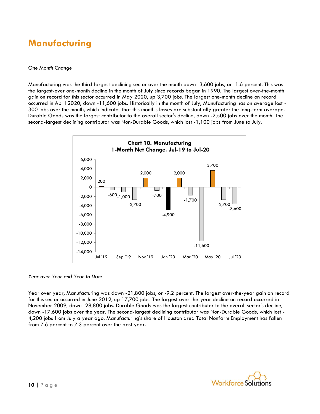### **Manufacturing**

#### *One Month Change*

Manufacturing was the third-largest declining sector over the month down -3,600 jobs, or -1.6 percent. This was the largest-ever one-month decline in the month of July since records began in 1990. The largest over-the-month gain on record for this sector occurred in May 2020, up 3,700 jobs. The largest one-month decline on record occurred in April 2020, down -11,600 jobs. Historically in the month of July, Manufacturing has on average lost - 300 jobs over the month, which indicates that this month's losses are substantially greater the long-term average. Durable Goods was the largest contributor to the overall sector's decline, down -2,500 jobs over the month. The second-largest declining contributor was Non-Durable Goods, which lost -1,100 jobs from June to July.



*Year over Year and Year to Date*

Year over year, Manufacturing was down -21,800 jobs, or -9.2 percent. The largest over-the-year gain on record for this sector occurred in June 2012, up 17,700 jobs. The largest over-the-year decline on record occurred in November 2009, down -28,800 jobs. Durable Goods was the largest contributor to the overall sector's decline, down -17,600 jobs over the year. The second-largest declining contributor was Non-Durable Goods, which lost - 4,200 jobs from July a year ago. Manufacturing's share of Houston area Total Nonfarm Employment has fallen from 7.6 percent to 7.3 percent over the past year.

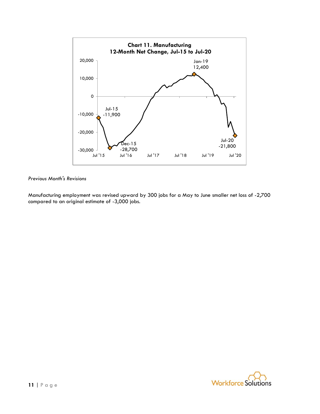

Manufacturing employment was revised upward by 300 jobs for a May to June smaller net loss of -2,700 compared to an original estimate of -3,000 jobs.

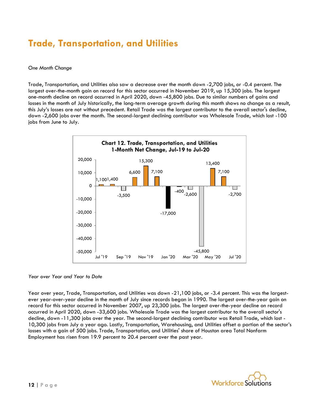## **Trade, Transportation, and Utilities**

#### *One Month Change*

Trade, Transportation, and Utilities also saw a decrease over the month down -2,700 jobs, or -0.4 percent. The largest over-the-month gain on record for this sector occurred in November 2019, up 15,300 jobs. The largest one-month decline on record occurred in April 2020, down -45,800 jobs. Due to similar numbers of gains and losses in the month of July historically, the long-term average growth during this month shows no change as a result, this July's losses are not without precedent. Retail Trade was the largest contributor to the overall sector's decline, down -2,600 jobs over the month. The second-largest declining contributor was Wholesale Trade, which lost -100 jobs from June to July.



*Year over Year and Year to Date*

Year over year, Trade, Transportation, and Utilities was down -21,100 jobs, or -3.4 percent. This was the largestever year-over-year decline in the month of July since records began in 1990. The largest over-the-year gain on record for this sector occurred in November 2007, up 23,300 jobs. The largest over-the-year decline on record occurred in April 2020, down -33,600 jobs. Wholesale Trade was the largest contributor to the overall sector's decline, down -11,300 jobs over the year. The second-largest declining contributor was Retail Trade, which lost - 10,300 jobs from July a year ago. Lastly, Transportation, Warehousing, and Utilities offset a portion of the sector's losses with a gain of 500 jobs. Trade, Transportation, and Utilities' share of Houston area Total Nonfarm Employment has risen from 19.9 percent to 20.4 percent over the past year.

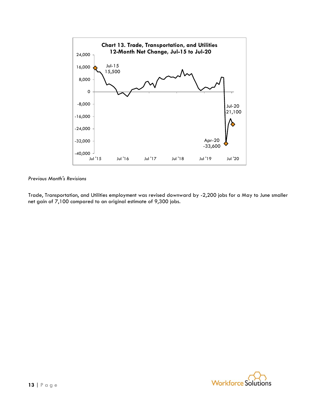

Trade, Transportation, and Utilities employment was revised downward by -2,200 jobs for a May to June smaller net gain of 7,100 compared to an original estimate of 9,300 jobs.

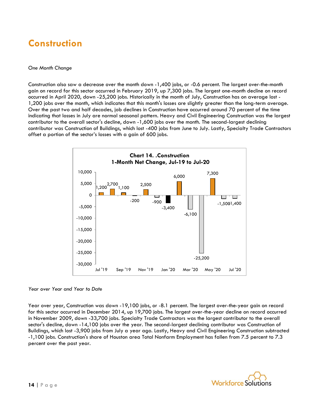## **Construction**

#### *One Month Change*

Construction also saw a decrease over the month down -1,400 jobs, or -0.6 percent. The largest over-the-month gain on record for this sector occurred in February 2019, up 7,300 jobs. The largest one-month decline on record occurred in April 2020, down -25,200 jobs. Historically in the month of July, Construction has on average lost - 1,200 jobs over the month, which indicates that this month's losses are slightly greater than the long-term average. Over the past two and half decades, job declines in Construction have occurred around 70 percent of the time indicating that losses in July are normal seasonal pattern. Heavy and Civil Engineering Construction was the largest contributor to the overall sector's decline, down -1,600 jobs over the month. The second-largest declining contributor was Construction of Buildings, which lost -400 jobs from June to July. Lastly, Specialty Trade Contractors offset a portion of the sector's losses with a gain of 600 jobs.



#### *Year over Year and Year to Date*

Year over year, Construction was down -19,100 jobs, or -8.1 percent. The largest over-the-year gain on record for this sector occurred in December 2014, up 19,700 jobs. The largest over-the-year decline on record occurred in November 2009, down -33,700 jobs. Specialty Trade Contractors was the largest contributor to the overall sector's decline, down -14,100 jobs over the year. The second-largest declining contributor was Construction of Buildings, which lost -3,900 jobs from July a year ago. Lastly, Heavy and Civil Engineering Construction subtracted -1,100 jobs. Construction's share of Houston area Total Nonfarm Employment has fallen from 7.5 percent to 7.3 percent over the past year.

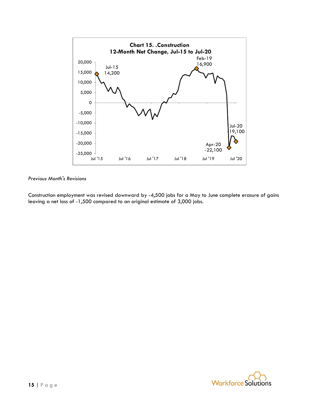

Construction employment was revised downward by -4,500 jobs for a May to June complete erasure of gains leaving a net loss of -1,500 compared to an original estimate of 3,000 jobs.

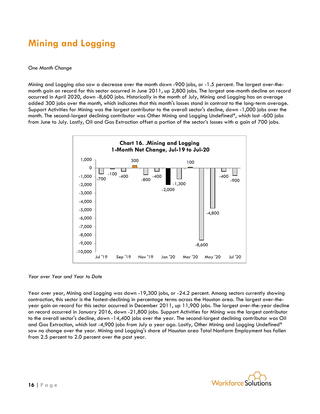## **Mining and Logging**

#### *One Month Change*

Mining and Logging also saw a decrease over the month down -900 jobs, or -1.5 percent. The largest over-themonth gain on record for this sector occurred in June 2011, up 2,800 jobs. The largest one-month decline on record occurred in April 2020, down -8,600 jobs. Historically in the month of July, Mining and Logging has on average added 300 jobs over the month, which indicates that this month's losses stand in contrast to the long-term average. Support Activities for Mining was the largest contributor to the overall sector's decline, down -1,000 jobs over the month. The second-largest declining contributor was Other Mining and Logging Undefined\*, which lost -600 jobs from June to July. Lastly, Oil and Gas Extraction offset a portion of the sector's losses with a gain of 700 jobs.



*Year over Year and Year to Date*

Year over year, Mining and Logging was down -19,300 jobs, or -24.2 percent. Among sectors currently showing contraction, this sector is the fastest-declining in percentage terms across the Houston area. The largest over-theyear gain on record for this sector occurred in December 2011, up 11,900 jobs. The largest over-the-year decline on record occurred in January 2016, down -21,800 jobs. Support Activities for Mining was the largest contributor to the overall sector's decline, down -14,400 jobs over the year. The second-largest declining contributor was Oil and Gas Extraction, which lost -4,900 jobs from July a year ago. Lastly, Other Mining and Logging Undefined\* saw no change over the year. Mining and Logging's share of Houston area Total Nonfarm Employment has fallen from 2.5 percent to 2.0 percent over the past year.

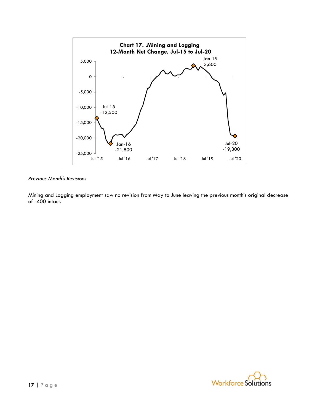

Mining and Logging employment saw no revision from May to June leaving the previous month's original decrease of -400 intact.

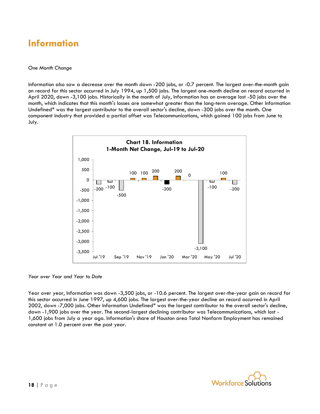### **Information**

#### *One Month Change*

Information also saw a decrease over the month down -200 jobs, or -0.7 percent. The largest over-the-month gain on record for this sector occurred in July 1994, up 1,500 jobs. The largest one-month decline on record occurred in April 2020, down -3,100 jobs. Historically in the month of July, Information has on average lost -50 jobs over the month, which indicates that this month's losses are somewhat greater than the long-term average. Other Information Undefined\* was the largest contributor to the overall sector's decline, down -300 jobs over the month. One component industry that provided a partial offset was Telecommunications, which gained 100 jobs from June to July.



*Year over Year and Year to Date*

Year over year, Information was down -3,500 jobs, or -10.6 percent. The largest over-the-year gain on record for this sector occurred in June 1997, up 4,600 jobs. The largest over-the-year decline on record occurred in April 2002, down -7,000 jobs. Other Information Undefined\* was the largest contributor to the overall sector's decline, down -1,900 jobs over the year. The second-largest declining contributor was Telecommunications, which lost - 1,600 jobs from July a year ago. Information's share of Houston area Total Nonfarm Employment has remained constant at 1.0 percent over the past year.

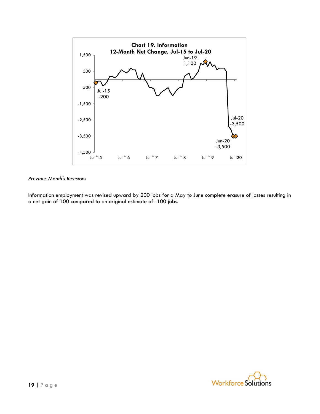

Information employment was revised upward by 200 jobs for a May to June complete erasure of losses resulting in a net gain of 100 compared to an original estimate of -100 jobs.

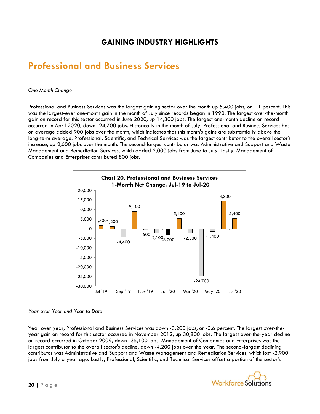### **GAINING INDUSTRY HIGHLIGHTS**

### **Professional and Business Services**

#### *One Month Change*

Professional and Business Services was the largest gaining sector over the month up 5,400 jobs, or 1.1 percent. This was the largest-ever one-month gain in the month of July since records began in 1990. The largest over-the-month gain on record for this sector occurred in June 2020, up 14,300 jobs. The largest one-month decline on record occurred in April 2020, down -24,700 jobs. Historically in the month of July, Professional and Business Services has on average added 900 jobs over the month, which indicates that this month's gains are substantially above the long-term average. Professional, Scientific, and Technical Services was the largest contributor to the overall sector's increase, up 2,600 jobs over the month. The second-largest contributor was Administrative and Support and Waste Management and Remediation Services, which added 2,000 jobs from June to July. Lastly, Management of Companies and Enterprises contributed 800 jobs.



#### *Year over Year and Year to Date*

Year over year, Professional and Business Services was down -3,200 jobs, or -0.6 percent. The largest over-theyear gain on record for this sector occurred in November 2012, up 30,800 jobs. The largest over-the-year decline on record occurred in October 2009, down -35,100 jobs. Management of Companies and Enterprises was the largest contributor to the overall sector's decline, down -4,200 jobs over the year. The second-largest declining contributor was Administrative and Support and Waste Management and Remediation Services, which lost -2,900 jobs from July a year ago. Lastly, Professional, Scientific, and Technical Services offset a portion of the sector's

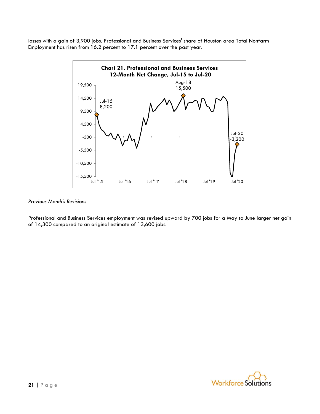losses with a gain of 3,900 jobs. Professional and Business Services' share of Houston area Total Nonfarm Employment has risen from 16.2 percent to 17.1 percent over the past year.



#### *Previous Month's Revisions*

Professional and Business Services employment was revised upward by 700 jobs for a May to June larger net gain of 14,300 compared to an original estimate of 13,600 jobs.

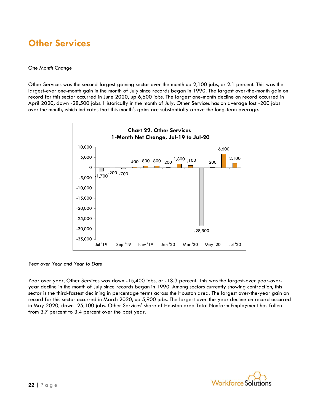### **Other Services**

#### *One Month Change*

Other Services was the second-largest gaining sector over the month up 2,100 jobs, or 2.1 percent. This was the largest-ever one-month gain in the month of July since records began in 1990. The largest over-the-month gain on record for this sector occurred in June 2020, up 6,600 jobs. The largest one-month decline on record occurred in April 2020, down -28,500 jobs. Historically in the month of July, Other Services has on average lost -200 jobs over the month, which indicates that this month's gains are substantially above the long-term average.



*Year over Year and Year to Date*

Year over year, Other Services was down -15,400 jobs, or -13.3 percent. This was the largest-ever year-overyear decline in the month of July since records began in 1990. Among sectors currently showing contraction, this sector is the third-fastest declining in percentage terms across the Houston area. The largest over-the-year gain on record for this sector occurred in March 2020, up 5,900 jobs. The largest over-the-year decline on record occurred in May 2020, down -25,100 jobs. Other Services' share of Houston area Total Nonfarm Employment has fallen from 3.7 percent to 3.4 percent over the past year.

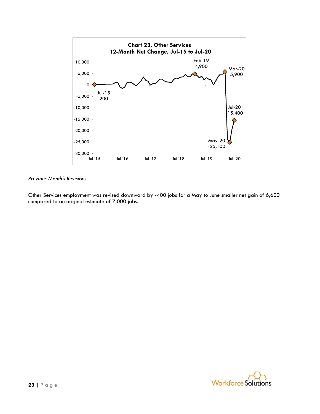

Other Services employment was revised downward by -400 jobs for a May to June smaller net gain of 6,600 compared to an original estimate of 7,000 jobs.

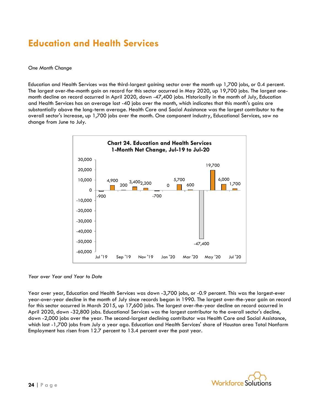### **Education and Health Services**

#### *One Month Change*

Education and Health Services was the third-largest gaining sector over the month up 1,700 jobs, or 0.4 percent. The largest over-the-month gain on record for this sector occurred in May 2020, up 19,700 jobs. The largest onemonth decline on record occurred in April 2020, down -47,400 jobs. Historically in the month of July, Education and Health Services has on average lost -40 jobs over the month, which indicates that this month's gains are substantially above the long-term average. Health Care and Social Assistance was the largest contributor to the overall sector's increase, up 1,700 jobs over the month. One component industry, Educational Services, saw no change from June to July.



*Year over Year and Year to Date*

Year over year, Education and Health Services was down -3,700 jobs, or -0.9 percent. This was the largest-ever year-over-year decline in the month of July since records began in 1990. The largest over-the-year gain on record for this sector occurred in March 2015, up 17,600 jobs. The largest over-the-year decline on record occurred in April 2020, down -32,800 jobs. Educational Services was the largest contributor to the overall sector's decline, down -2,000 jobs over the year. The second-largest declining contributor was Health Care and Social Assistance, which lost -1,700 jobs from July a year ago. Education and Health Services' share of Houston area Total Nonfarm Employment has risen from 12.7 percent to 13.4 percent over the past year.

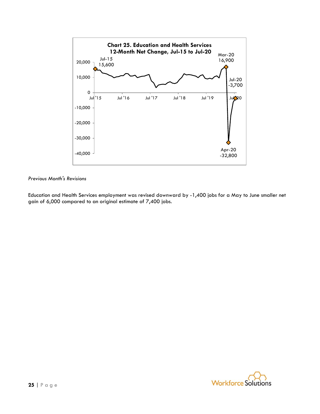

Education and Health Services employment was revised downward by -1,400 jobs for a May to June smaller net gain of 6,000 compared to an original estimate of 7,400 jobs.

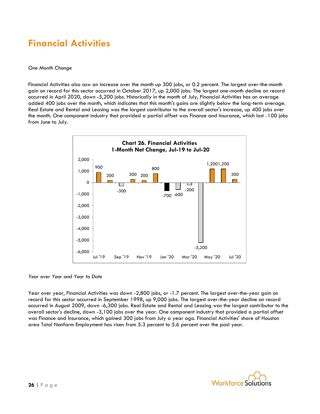## **Financial Activities**

#### *One Month Change*

Financial Activities also saw an increase over the month up 300 jobs, or 0.2 percent. The largest over-the-month gain on record for this sector occurred in October 2017, up 2,000 jobs. The largest one-month decline on record occurred in April 2020, down -5,200 jobs. Historically in the month of July, Financial Activities has on average added 400 jobs over the month, which indicates that this month's gains are slightly below the long-term average. Real Estate and Rental and Leasing was the largest contributor to the overall sector's increase, up 400 jobs over the month. One component industry that provided a partial offset was Finance and Insurance, which lost -100 jobs from June to July.



*Year over Year and Year to Date*

Year over year, Financial Activities was down -2,800 jobs, or -1.7 percent. The largest over-the-year gain on record for this sector occurred in September 1998, up 9,000 jobs. The largest over-the-year decline on record occurred in August 2009, down -6,300 jobs. Real Estate and Rental and Leasing was the largest contributor to the overall sector's decline, down -3,100 jobs over the year. One component industry that provided a partial offset was Finance and Insurance, which gained 300 jobs from July a year ago. Financial Activities' share of Houston area Total Nonfarm Employment has risen from 5.3 percent to 5.6 percent over the past year.

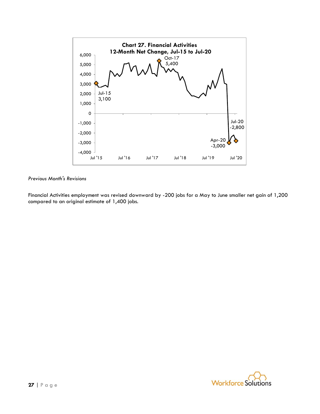

Financial Activities employment was revised downward by -200 jobs for a May to June smaller net gain of 1,200 compared to an original estimate of 1,400 jobs.

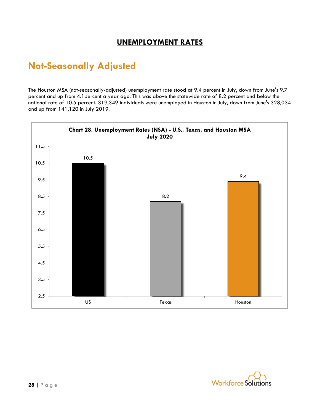### **UNEMPLOYMENT RATES**

### **Not-Seasonally Adjusted**

The Houston MSA (not-seasonally-adjusted) unemployment rate stood at 9.4 percent in July, down from June's 9.7 percent and up from 4.1percent a year ago. This was above the statewide rate of 8.2 percent and below the national rate of 10.5 percent. 319,349 individuals were unemployed in Houston in July, down from June's 328,034 and up from 141,120 in July 2019.



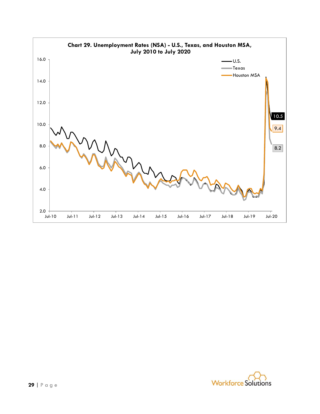

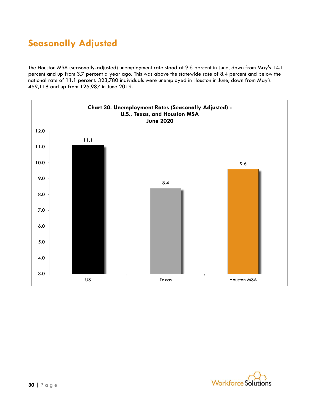## **Seasonally Adjusted**

The Houston MSA (seasonally-adjusted) unemployment rate stood at 9.6 percent in June, down from May's 14.1 percent and up from 3.7 percent a year ago. This was above the statewide rate of 8.4 percent and below the national rate of 11.1 percent. 323,780 individuals were unemployed in Houston in June, down from May's 469,118 and up from 126,987 in June 2019.



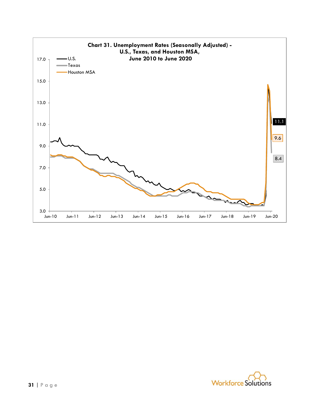

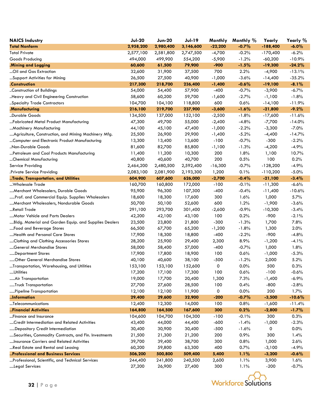| <b>NAICS Industry</b>                                 | <b>Jul-20</b>     | <b>Jun-20</b>     | <b>Jul-19</b>     | Monthly      | Monthly %    | Yearly          | Yearly %        |
|-------------------------------------------------------|-------------------|-------------------|-------------------|--------------|--------------|-----------------|-----------------|
| <b>Total Nonfarm</b>                                  | 2,958,200         | 2,980,400         | 3,146,600         | $-22,200$    | $-0.7%$      | $-188,400$      | $-6.0\%$        |
| <b>Total Private</b>                                  | 2,577,100         | 2,581,800         | 2,747,500         | $-4,700$     | $-0.2%$      | $-170,400$      | $-6.2%$         |
| Goods Producing                                       | 494,000           | 499,900           | 554,200           | $-5,900$     | $-1.2%$      | $-60,200$       | $-10.9%$        |
| .Mining and Logging                                   | 60,600            | 61,500            | 79,900            | $-900$       | $-1.5%$      | $-19,300$       | $-24.2%$        |
| Oil and Gas Extraction                                | 32,600            | 31,900            | 37,500            | 700          | 2.2%         | $-4,900$        | $-13.1%$        |
| Support Activities for Mining                         | 26,500            | 27,500            | 40,900            | $-1,000$     | $-3.6%$      | $-14,400$       | $-35.2%$        |
| .Construction                                         | 217,300           | 218,700           | 236,400           | $-1,400$     | $-0.6%$      | $-19,100$       | $-8.1%$         |
| Construction of Buildings                             | 54,000            | 54,400            | 57,900            | $-400$       | $-0.7%$      | $-3,900$        | $-6.7%$         |
| Heavy and Civil Engineering Construction              | 58,600            | 60,200            | 59,700            | -1,600       | $-2.7%$      | $-1,100$        | $-1.8%$         |
| Specialty Trade Contractors                           | 104,700           | 104,100           | 118,800           | 600          | 0.6%         | $-14,100$       | $-11.9%$        |
| .Manufacturing                                        | 216,100           | 219,700           | 237,900           | $-3,600$     | $-1.6%$      | $-21,800$       | $-9.2%$         |
| Durable Goods                                         | 134,500           | 137,000           | 152,100           | $-2,500$     | $-1.8%$      | $-17,600$       | $-11.6%$        |
| Fabricated Metal Product Manufacturing                | 47,300            | 49,700            | 55,000            | $-2,400$     | $-4.8%$      | $-7,700$        | $-14.0%$        |
| Machinery Manufacturing                               | 44,100            | 45,100            | 47,400            | $-1,000$     | $-2.2%$      | $-3,300$        | $-7.0%$         |
| Agriculture, Construction, and Mining Machinery Mfg.  | 25,500            | 26,900            | 29,900            | $-1,400$     | $-5.2%$      | $-4,400$        | $-14.7%$        |
| Computer and Electronic Product Manufacturing         | 13,300            | 13,400            | 13,600            | $-100$       | $-0.7%$      | $-300$          | $-2.2%$         |
| "Non-Durable Goods                                    | 81,600            | 82,700            | 85,800            | $-1,100$     | $-1.3%$      | $-4,200$        | $-4.9%$         |
| Petroleum and Coal Products Manufacturing             | 11,400            | 11,200            | 10,300            | 200          | 1.8%         | 1,100           | 10.7%           |
| Chemical Manufacturing                                | 40,800            | 40,600            | 40,700            | 200          | 0.5%         | 100             | 0.2%            |
| Service Providing                                     | 2,464,200         | 2,480,500         | 2,592,400         | $-16,300$    | $-0.7%$      | $-128,200$      | $-4.9%$         |
| .Private Service Providing                            | 2,083,100         | 2,081,900         | 2,193,300         | 1,200        | 0.1%         | $-110,200$      | $-5.0\%$        |
| Trade, Transportation, and Utilities                  | 604,900           | 607,600           | 626,000           | $-2,700$     | $-0.4%$      | $-21,100$       | $-3.4%$         |
| Wholesale Trade                                       | 160,700           | 160,800           | 172,000           | $-100$       | $-0.1%$      | $-11,300$       | $-6.6%$         |
| Merchant Wholesalers, Durable Goods                   | 95,900            | 96,300            | 107,300           | $-400$       | $-0.4%$      | $-11,400$       | $-10.6%$        |
| Prof. and Commercial Equip. Supplies Wholesalers      | 18,600            | 18,300            | 17,600            | 300          | 1.6%         | 1,000           | 5.7%            |
| Merchant Wholesalers, Nondurable Goods                | 50,700            | 50,100            | 52,600            | 600          | 1.2%         | $-1,900$        | $-3.6%$         |
| Retail Trade                                          | 291,100           | 293,700           | 301,400           | $-2,600$     | $-0.9%$      | $-10,300$       | $-3.4%$         |
| Motor Vehicle and Parts Dealers                       | 42,200            | 42,100            | 43,100            | 100          | 0.2%         | $-900$          | $-2.1%$         |
| Bldg. Material and Garden Equip. and Supplies Dealers | 23,500            | 23,800            | 21,800            | $-300$       | $-1.3%$      | 1,700           | 7.8%            |
| Food and Beverage Stores                              | 66,500            | 67,700            | 65,200            | $-1,200$     | $-1.8%$      | 1,300           | 2.0%            |
| Health and Personal Care Stores                       | 17,900            | 18,300            | 18,800            | $-400$       | $-2.2%$      | $-900$          | $-4.8%$         |
| Clothing and Clothing Accessories Stores              | 28,200            | 25,900            | 29,400            | 2,300        | 8.9%         | $-1,200$        | $-4.1%$         |
| General Merchandise Stores                            | 58,000            | 58,400            | 57,000            | $-400$       | $-0.7%$      | 1,000           | 1.8%            |
| Department Stores                                     | 17,900            | 17,800            | 18,900            | 100          | 0.6%         | $-1,000$        | $-5.3%$         |
| Other General Merchandise Stores                      | 40,100            | 40,600            | 38,100            | $-500$       | $-1.2%$      | 2,000           | 5.2%            |
| Transportation, Warehousing, and Utilities            | 153,100           | 153,100           | 152,600           | 0            | 0.0%         | 500             | 0.3%            |
| …Utilities                                            | 17,200            | 17,100            | 17,300            | 100          | 0.6%         | $-100$          | $-0.6%$         |
| Air Transportation                                    | 19,000            | 17,700            | 20,400            | 1,300        | 7.3%         | $-1,400$        | $-6.9%$         |
| Truck Transportation                                  | 27,700            | 27,600            | 28,500            | 100          | 0.4%         | $-800$          | $-2.8%$         |
| Pipeline Transportation                               | 12,100            | 12,100            | 11,900            | 0            | 0.0%         | 200             | 1.7%            |
| Information                                           | 29,400            | 29,600            | 32,900            | $-200$       | $-0.7%$      | $-3,500$        | $-10.6%$        |
| Telecommunications                                    | 12,400            | 12,300            | 14,000            | 100          | 0.8%         | $-1,600$        | $-11.4%$        |
| Financial Activities                                  | 164,800           | 164,500           | 167,600           | 300          | 0.2%         | $-2,800$        | $-1.7%$         |
| Finance and Insurance                                 | 104,600           | 104,700           | 104,300           | $-100$       | $-0.1%$      | 300             | 0.3%            |
| Credit Intermediation and Related Activities          | 43,400            | 44,000            | 44,400            | $-600$       | $-1.4%$      | $-1,000$        | $-2.3%$         |
| Depository Credit Intermediation                      | 30,400            | 30,900            | 30,400            | $-500$       | $-1.6%$      | 0               | 0.0%            |
| Securities, Commodity Contracts, and Fin. Investments | 21,500            | 21,300            | 21,200            | 200          | 0.9%         | 300             | 1.4%            |
| Insurance Carriers and Related Activities             | 39,700            | 39,400            | 38,700            | 300          | 0.8%         | 1,000           | 2.6%            |
| Real Estate and Rental and Leasing                    | 60,200            | 59,800            | 63,300            | 400          | 0.7%         | $-3,100$        | $-4.9%$         |
| Professional and Business Services                    | 506,200           | 500,800           | 509,400           | 5,400        | 1.1%         | $-3,200$        | $-0.6%$         |
| Professional, Scientific, and Technical Services      | 244,400<br>27,200 | 241,800<br>26,900 | 240,500<br>27,400 | 2,600<br>300 | 1.1%<br>1.1% | 3,900<br>$-200$ | 1.6%<br>$-0.7%$ |
| Legal Services                                        |                   |                   |                   |              |              |                 |                 |